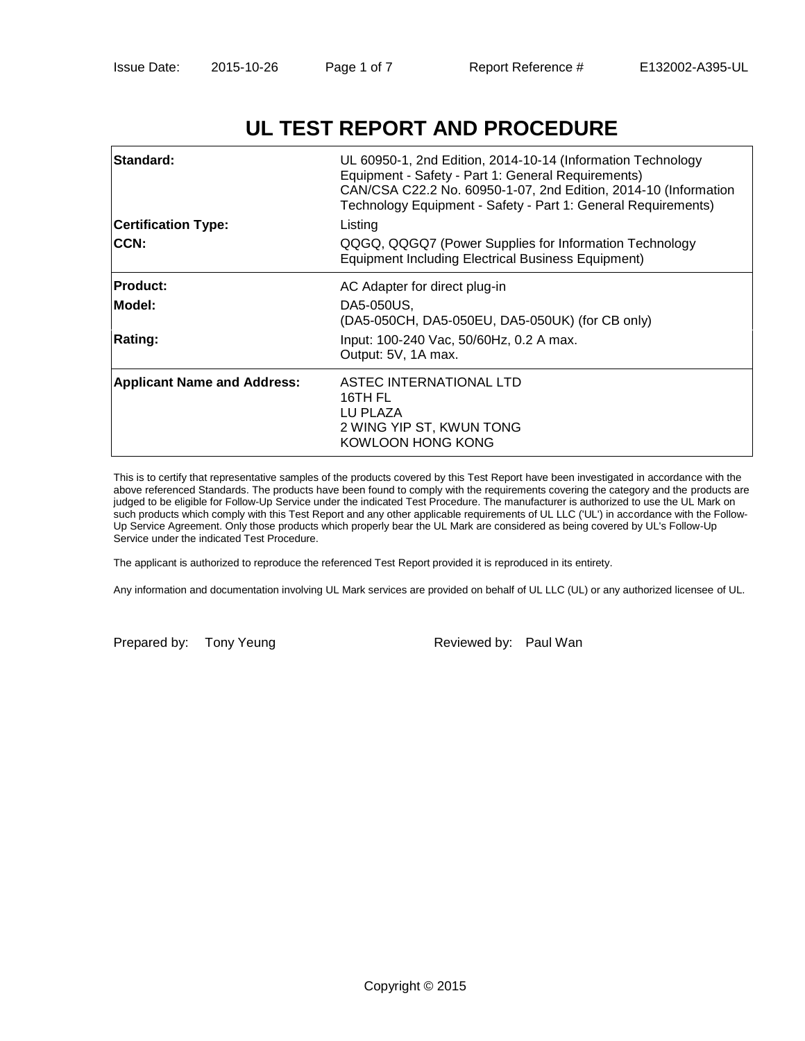# **UL TEST REPORT AND PROCEDURE**

| <b>Standard:</b><br><b>Certification Type:</b><br><b>ICCN:</b> | UL 60950-1, 2nd Edition, 2014-10-14 (Information Technology<br>Equipment - Safety - Part 1: General Requirements)<br>CAN/CSA C22.2 No. 60950-1-07, 2nd Edition, 2014-10 (Information<br>Technology Equipment - Safety - Part 1: General Requirements)<br>Listing<br>QQGQ, QQGQ7 (Power Supplies for Information Technology<br><b>Equipment Including Electrical Business Equipment)</b> |
|----------------------------------------------------------------|-----------------------------------------------------------------------------------------------------------------------------------------------------------------------------------------------------------------------------------------------------------------------------------------------------------------------------------------------------------------------------------------|
| <b>Product:</b>                                                | AC Adapter for direct plug-in                                                                                                                                                                                                                                                                                                                                                           |
| Model:                                                         | DA5-050US,<br>(DA5-050CH, DA5-050EU, DA5-050UK) (for CB only)                                                                                                                                                                                                                                                                                                                           |
| <b>Rating:</b>                                                 | Input: 100-240 Vac, 50/60Hz, 0.2 A max.<br>Output: 5V, 1A max.                                                                                                                                                                                                                                                                                                                          |
| <b>Applicant Name and Address:</b>                             | ASTEC INTERNATIONAL LTD<br>16TH FL<br>LU PLAZA<br>2 WING YIP ST, KWUN TONG<br>KOWLOON HONG KONG                                                                                                                                                                                                                                                                                         |

This is to certify that representative samples of the products covered by this Test Report have been investigated in accordance with the above referenced Standards. The products have been found to comply with the requirements covering the category and the products are judged to be eligible for Follow-Up Service under the indicated Test Procedure. The manufacturer is authorized to use the UL Mark on such products which comply with this Test Report and any other applicable requirements of UL LLC ('UL') in accordance with the Follow-Up Service Agreement. Only those products which properly bear the UL Mark are considered as being covered by UL's Follow-Up Service under the indicated Test Procedure.

The applicant is authorized to reproduce the referenced Test Report provided it is reproduced in its entirety.

Any information and documentation involving UL Mark services are provided on behalf of UL LLC (UL) or any authorized licensee of UL.

Prepared by: Tony Yeung Reviewed by: Paul Wan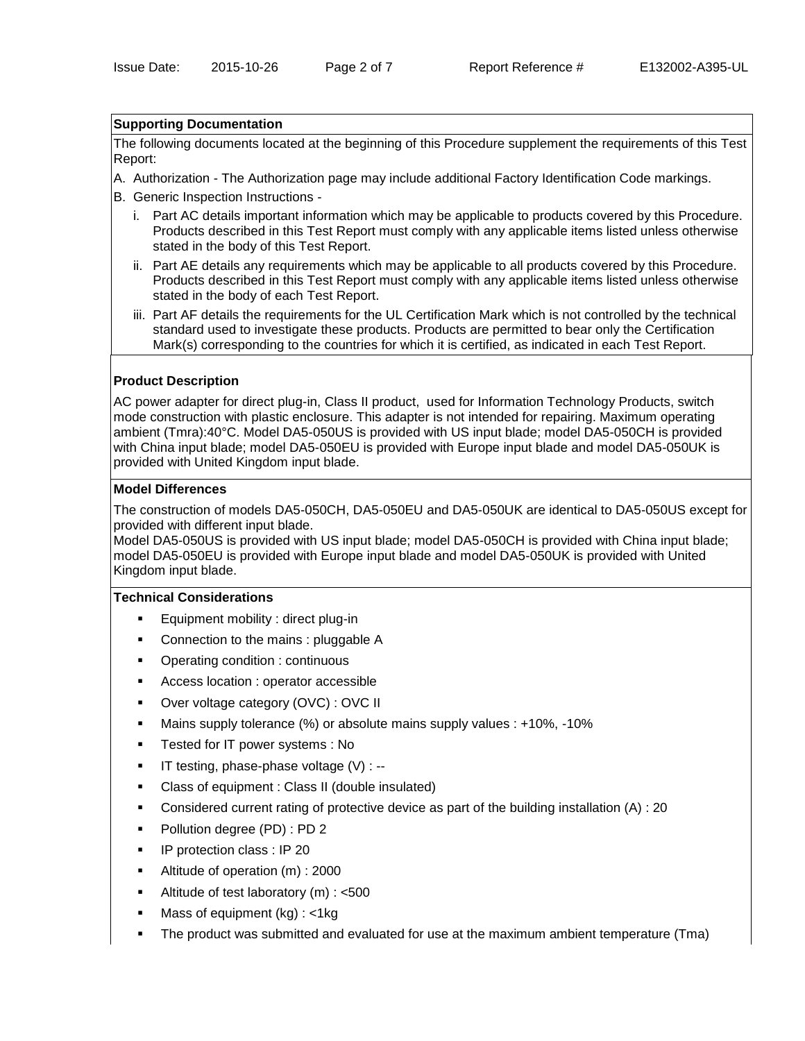#### **Supporting Documentation**

The following documents located at the beginning of this Procedure supplement the requirements of this Test Report:

- A. Authorization The Authorization page may include additional Factory Identification Code markings.
- B. Generic Inspection Instructions
	- i. Part AC details important information which may be applicable to products covered by this Procedure. Products described in this Test Report must comply with any applicable items listed unless otherwise stated in the body of this Test Report.
	- ii. Part AE details any requirements which may be applicable to all products covered by this Procedure. Products described in this Test Report must comply with any applicable items listed unless otherwise stated in the body of each Test Report.
	- iii. Part AF details the requirements for the UL Certification Mark which is not controlled by the technical standard used to investigate these products. Products are permitted to bear only the Certification Mark(s) corresponding to the countries for which it is certified, as indicated in each Test Report.

## **Product Description**

AC power adapter for direct plug-in, Class II product, used for Information Technology Products, switch mode construction with plastic enclosure. This adapter is not intended for repairing. Maximum operating ambient (Tmra):40°C. Model DA5-050US is provided with US input blade; model DA5-050CH is provided with China input blade; model DA5-050EU is provided with Europe input blade and model DA5-050UK is provided with United Kingdom input blade.

### **Model Differences**

The construction of models DA5-050CH, DA5-050EU and DA5-050UK are identical to DA5-050US except for provided with different input blade.

Model DA5-050US is provided with US input blade; model DA5-050CH is provided with China input blade; model DA5-050EU is provided with Europe input blade and model DA5-050UK is provided with United Kingdom input blade.

#### **Technical Considerations**

- Equipment mobility : direct plug-in
- Connection to the mains : pluggable A
- Operating condition : continuous
- Access location : operator accessible
- Over voltage category (OVC) : OVC II
- Mains supply tolerance (%) or absolute mains supply values : +10%, -10%
- **Tested for IT power systems : No**
- $\blacksquare$  IT testing, phase-phase voltage (V) : --
- Class of equipment : Class II (double insulated)
- Considered current rating of protective device as part of the building installation (A) : 20
- Pollution degree (PD) : PD 2
- **IP protection class : IP 20**
- Altitude of operation (m) : 2000
- Altitude of test laboratory (m) : <500
- Mass of equipment (kg) : <1kg
- The product was submitted and evaluated for use at the maximum ambient temperature (Tma)